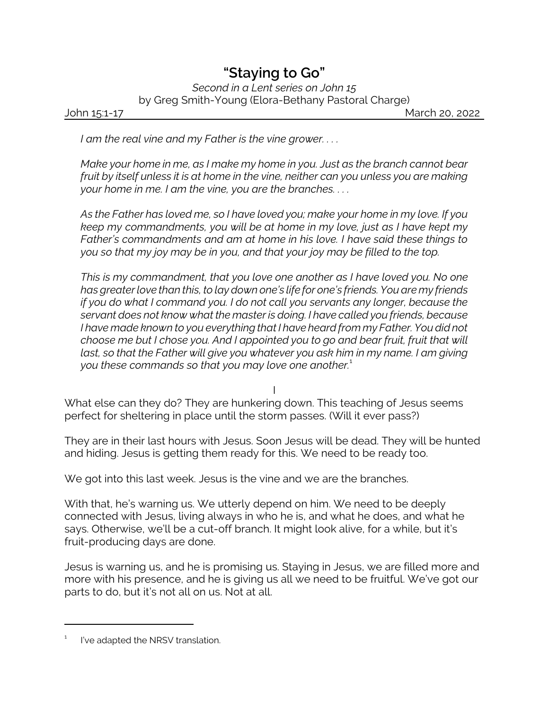## *"Staying to Go"*

*Second in a Lent series on John 15* by Greg Smith-Young (Elora-Bethany Pastoral Charge)

John 15:1-17 March 20, 2022

*I am the real vine and my Father is the vine grower. . . .*

*Make your home in me, as I make my home in you. Just as the branch cannot bear fruit by itself unless it is at home in the vine, neither can you unless you are making your home in me. I am the vine, you are the branches. . . .*

*As the Father has loved me, so I have loved you; make your home in my love. If you keep my commandments, you will be at home in my love, just as I have kept my Father's commandments and am at home in his love. I have said these things to you so that my joy may be in you, and that your joy may be filled to the top.*

*This is my commandment, that you love one another as I have loved you. No one has greater love than this, to lay down one's life for one's friends. You are my friends if you do what I command you. I do not call you servants any longer, because the servant does not know what the master is doing. I have called you friends, because I have made known to you everything that I have heard from my Father. You did not choose me but I chose you. And I appointed you to go and bear fruit, fruit that will last, so that the Father will give you whatever you ask him in my name. I am giving you these commands so that you may love one another.*<sup>1</sup>

I

What else can they do? They are hunkering down. This teaching of Jesus seems perfect for sheltering in place until the storm passes. (Will it ever pass?)

They are in their last hours with Jesus. Soon Jesus will be dead. They will be hunted and hiding. Jesus is getting them ready for this. We need to be ready too.

We got into this last week. Jesus is the vine and we are the branches.

With that, he's warning us. We utterly depend on him. We need to be deeply connected with Jesus, living always in who he is, and what he does, and what he says. Otherwise, we'll be a cut-off branch. It might look alive, for a while, but it's fruit-producing days are done.

Jesus is warning us, and he is promising us. Staying in Jesus, we are filled more and more with his presence, and he is giving us all we need to be fruitful. We've got our parts to do, but it's not all on us. Not at all.

<sup>1</sup> I've adapted the NRSV translation.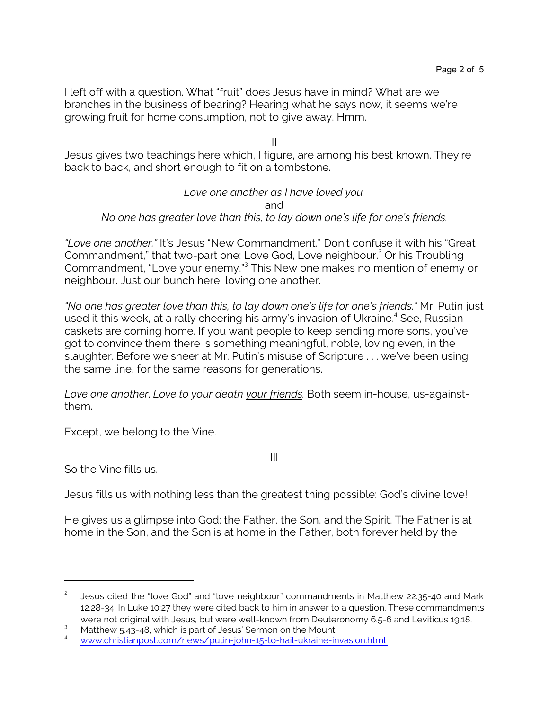I left off with a question. What "fruit" does Jesus have in mind? What are we branches in the business of bearing? Hearing what he says now, it seems we're growing fruit for home consumption, not to give away. Hmm.

II

Jesus gives two teachings here which, I figure, are among his best known. They're back to back, and short enough to fit on a tombstone.

## *Love one another as I have loved you.* and *No one has greater love than this, to lay down one's life for one's friends.*

*"Love one another."* It's Jesus "New Commandment." Don't confuse it with his "Great Commandment," that two-part one: Love God, Love neighbour. <sup>2</sup> Or his Troubling Commandment, "Love your enemy."<sup>3</sup> This New one makes no mention of enemy or neighbour. Just our bunch here, loving one another.

*"No one has greater love than this, to lay down one's life for one's friends."* Mr. Putin just used it this week, at a rally cheering his army's invasion of Ukraine.<sup>4</sup> See, Russian caskets are coming home. If you want people to keep sending more sons, you've got to convince them there is something meaningful, noble, loving even, in the slaughter. Before we sneer at Mr. Putin's misuse of Scripture . . . we've been using the same line, for the same reasons for generations.

*Love one another*. *Love to your death your friends.* Both seem in-house, us-againstthem.

Except, we belong to the Vine.

III

So the Vine fills us.

Jesus fills us with nothing less than the greatest thing possible: God's divine love!

He gives us a glimpse into God: the Father, the Son, and the Spirit. The Father is at home in the Son, and the Son is at home in the Father, both forever held by the

<sup>2</sup> Jesus cited the "love God" and "love neighbour" commandments in Matthew 22.35-40 and Mark 12.28-34. In Luke 10:27 they were cited back to him in answer to a question. These commandments were not original with Jesus, but were well-known from Deuteronomy 6.5-6 and Leviticus 19.18.

<sup>&</sup>lt;sup>3</sup> Matthew 5.43-48, which is part of Jesus' Sermon on the Mount.

<sup>4</sup> [www.christianpost.com/news/putin-john-15-to-hail-ukraine-invasion.html](https://www.christianpost.com/news/putin-john-15-to-hail-ukraine-invasion.html)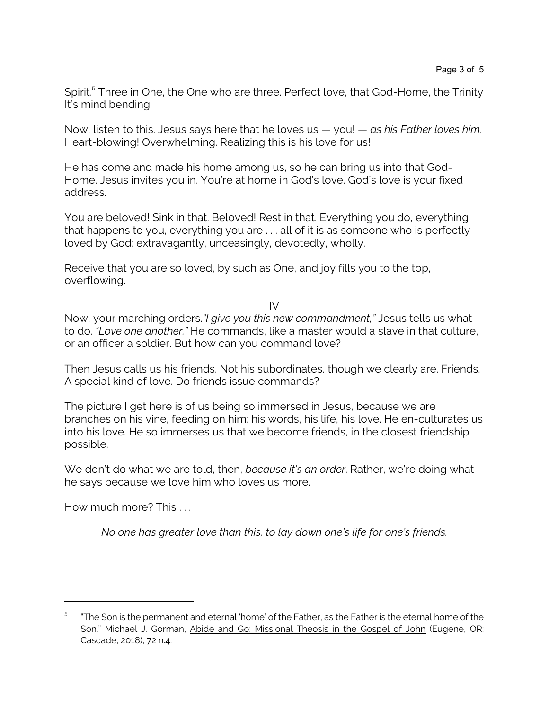Spirit.<sup>5</sup> Three in One, the One who are three. Perfect love, that God-Home, the Trinity It's mind bending.

Now, listen to this. Jesus says here that he loves us — you! — *as his Father loves him*. Heart-blowing! Overwhelming. Realizing this is his love for us!

He has come and made his home among us, so he can bring us into that God-Home. Jesus invites you in. You're at home in God's love. God's love is your fixed address.

You are beloved! Sink in that. Beloved! Rest in that. Everything you do, everything that happens to you, everything you are . . . all of it is as someone who is perfectly loved by God: extravagantly, unceasingly, devotedly, wholly.

Receive that you are so loved, by such as One, and joy fills you to the top, overflowing.

 $IV$ 

Now, your marching orders.*"I give you this new commandment,"* Jesus tells us what to do. *"Love one another."* He commands, like a master would a slave in that culture, or an officer a soldier. But how can you command love?

Then Jesus calls us his friends. Not his subordinates, though we clearly are. Friends. A special kind of love. Do friends issue commands?

The picture I get here is of us being so immersed in Jesus, because we are branches on his vine, feeding on him: his words, his life, his love. He en-culturates us into his love. He so immerses us that we become friends, in the closest friendship possible.

We don't do what we are told, then, *because it's an order*. Rather, we're doing what he says because we love him who loves us more.

How much more? This . . .

*No one has greater love than this, to lay down one's life for one's friends.*

<sup>5</sup> "The Son is the permanent and eternal 'home' of the Father, as the Father is the eternal home of the Son." Michael J. Gorman, Abide and Go: Missional Theosis in the Gospel of John (Eugene, OR: Cascade, 2018), 72 n.4.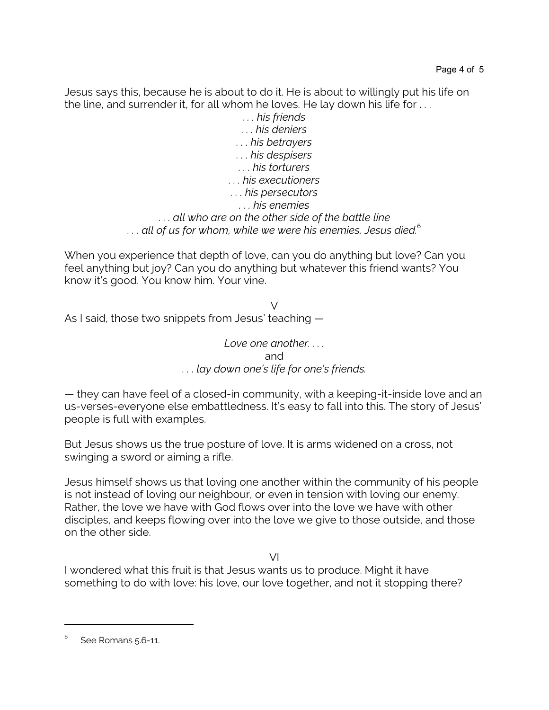Jesus says this, because he is about to do it. He is about to willingly put his life on the line, and surrender it, for all whom he loves. He lay down his life for . . .

> *. . . his friends . . . his deniers . . . his betrayers . . . his despisers . . . his torturers . . . his executioners . . . his persecutors . . . his enemies . . . all who are on the other side of the battle line* ... all of us for whom, while we were his enemies, Jesus died.<sup>6</sup>

When you experience that depth of love, can you do anything but love? Can you feel anything but joy? Can you do anything but whatever this friend wants? You know it's good. You know him. Your vine.

 $\sqrt{}$ As I said, those two snippets from Jesus' teaching —

> *Love one another. . . .* and *. . . lay down one's life for one's friends.*

— they can have feel of a closed-in community, with a keeping-it-inside love and an us-verses-everyone else embattledness. It's easy to fall into this. The story of Jesus' people is full with examples.

But Jesus shows us the true posture of love. It is arms widened on a cross, not swinging a sword or aiming a rifle.

Jesus himself shows us that loving one another within the community of his people is not instead of loving our neighbour, or even in tension with loving our enemy. Rather, the love we have with God flows over into the love we have with other disciples, and keeps flowing over into the love we give to those outside, and those on the other side.

VI

I wondered what this fruit is that Jesus wants us to produce. Might it have something to do with love: his love, our love together, and not it stopping there?

<sup>6</sup> See Romans 5.6-11.